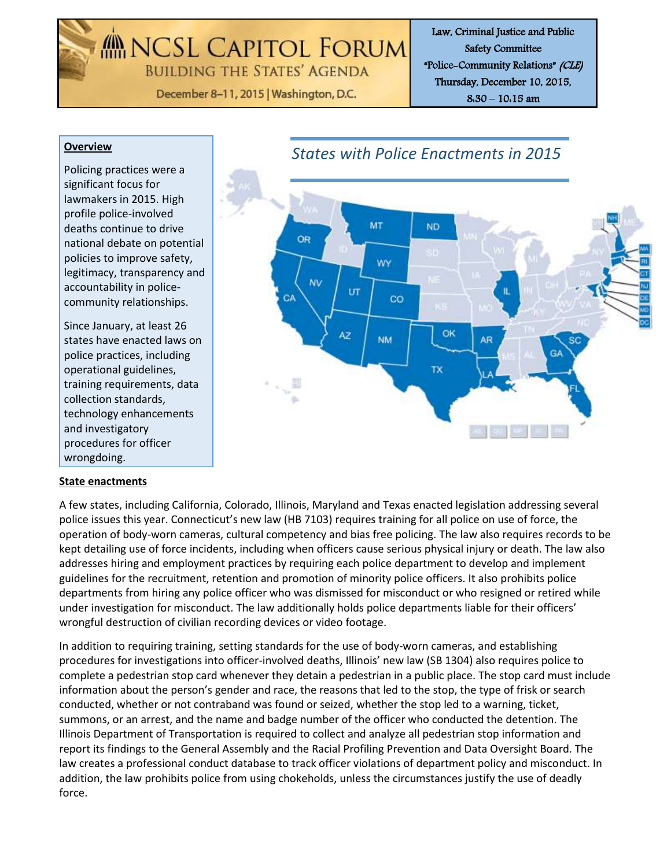MENCSL CAPITOL FORUM **BUILDING THE STATES' AGENDA** 

December 8-11, 2015 | Washington, D.C.

Law, Criminal Justice and Public Safety Committee "Police-Community Relations" (CLE) Thursday, December 10, 2015, 8:30 – 10:15 am

#### **Overview**

Policing practices were a significant focus for lawmakers in 2015. High profile police-involved deaths continue to drive national debate on potential policies to improve safety, legitimacy, transparency and accountability in policecommunity relationships.

Since January, at least 26 states have enacted laws on police practices, including operational guidelines, training requirements, data collection standards, technology enhancements and investigatory procedures for officer wrongdoing.

### **State enactments**



A few states, including California, Colorado, Illinois, Maryland and Texas enacted legislation addressing several police issues this year. Connecticut's new law (HB 7103) requires training for all police on use of force, the operation of body-worn cameras, cultural competency and bias free policing. The law also requires records to be kept detailing use of force incidents, including when officers cause serious physical injury or death. The law also addresses hiring and employment practices by requiring each police department to develop and implement guidelines for the recruitment, retention and promotion of minority police officers. It also prohibits police departments from hiring any police officer who was dismissed for misconduct or who resigned or retired while under investigation for misconduct. The law additionally holds police departments liable for their officers' wrongful destruction of civilian recording devices or video footage.

In addition to requiring training, setting standards for the use of body-worn cameras, and establishing procedures for investigations into officer-involved deaths, Illinois' new law (SB 1304) also requires police to complete a pedestrian stop card whenever they detain a pedestrian in a public place. The stop card must include information about the person's gender and race, the reasons that led to the stop, the type of frisk or search conducted, whether or not contraband was found or seized, whether the stop led to a warning, ticket, summons, or an arrest, and the name and badge number of the officer who conducted the detention. The Illinois Department of Transportation is required to collect and analyze all pedestrian stop information and report its findings to the General Assembly and the Racial Profiling Prevention and Data Oversight Board. The law creates a professional conduct database to track officer violations of department policy and misconduct. In addition, the law prohibits police from using chokeholds, unless the circumstances justify the use of deadly force.